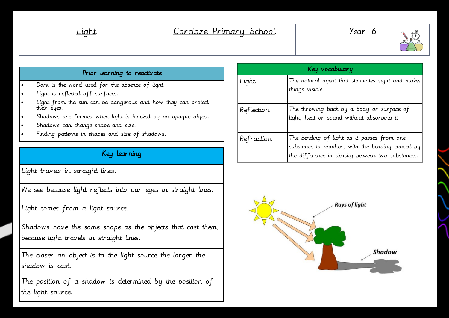| шn |  |
|----|--|
|    |  |



#### Prior learning to reactivate

- Dark is the word used for the absence of light.
- Light is reflected off surfaces.
- Light from the sun can be dangerous and how they can protect their eyes.
- Shadows are formed when light is blocked by an opaque object.
- Shadows can change shape and size.
- Finding patterns in shapes and size of shadows.

## Key learning

Light travels in straight lines.

We see because light reflects into our eyes in straight lines.

Light comes from a light source.

Shadows have the same shape as the objects that cast them, because light travels in straight lines.

The closer an object is to the light source the larger the shadow is cast.

The position of a shadow is determined by the position of the light source.

| Key vocabulary |                                                                                                                                                     |
|----------------|-----------------------------------------------------------------------------------------------------------------------------------------------------|
| Light          | The natural agent that stimulates sight and makes<br>things visible.                                                                                |
| Reflection     | The throwing back by a body or surface of<br>light, heat or sound without absorbing it                                                              |
| Refraction     | The bending of light as it passes from one<br>substance to another, with the bending caused by<br>the difference in density between two substances. |